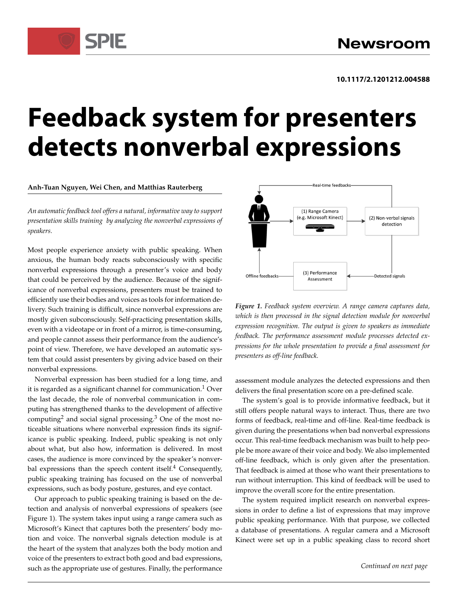# **Feedback system for presenters detects nonverbal expressions**

**Anh-Tuan Nguyen, Wei Chen, and Matthias Rauterberg**

*An automatic feedback tool offers a natural, informative way to support presentation skills training by analyzing the nonverbal expressions of speakers.*

Most people experience anxiety with public speaking. When anxious, the human body reacts subconsciously with specific nonverbal expressions through a presenter's voice and body that could be perceived by the audience. Because of the significance of nonverbal expressions, presenters must be trained to efficiently use their bodies and voices as tools for information delivery. Such training is difficult, since nonverbal expressions are mostly given subconsciously. Self-practicing presentation skills, even with a videotape or in front of a mirror, is time-consuming, and people cannot assess their performance from the audience's point of view. Therefore, we have developed an automatic system that could assist presenters by giving advice based on their nonverbal expressions.

Nonverbal expression has been studied for a long time, and it is regarded as a significant channel for communication.<sup>1</sup> Over the last decade, the role of nonverbal communication in computing has strengthened thanks to the development of affective computing<sup>2</sup> and social signal processing.<sup>3</sup> One of the most noticeable situations where nonverbal expression finds its significance is public speaking. Indeed, public speaking is not only about what, but also how, information is delivered. In most cases, the audience is more convinced by the speaker's nonverbal expressions than the speech content itself. $4$  Consequently, public speaking training has focused on the use of nonverbal expressions, such as body posture, gestures, and eye contact.

Our approach to public speaking training is based on the detection and analysis of nonverbal expressions of speakers (see Figure 1). The system takes input using a range camera such as Microsoft's Kinect that captures both the presenters' body motion and voice. The nonverbal signals detection module is at the heart of the system that analyzes both the body motion and voice of the presenters to extract both good and bad expressions, such as the appropriate use of gestures. Finally, the performance



*Figure 1. Feedback system overview. A range camera captures data, which is then processed in the signal detection module for nonverbal expression recognition. The output is given to speakers as immediate feedback. The performance assessment module processes detected expressions for the whole presentation to provide a final assessment for presenters as off-line feedback.*

assessment module analyzes the detected expressions and then delivers the final presentation score on a pre-defined scale.

The system's goal is to provide informative feedback, but it still offers people natural ways to interact. Thus, there are two forms of feedback, real-time and off-line. Real-time feedback is given during the presentations when bad nonverbal expressions occur. This real-time feedback mechanism was built to help people be more aware of their voice and body. We also implemented off-line feedback, which is only given after the presentation. That feedback is aimed at those who want their presentations to run without interruption. This kind of feedback will be used to improve the overall score for the entire presentation.

The system required implicit research on nonverbal expressions in order to define a list of expressions that may improve public speaking performance. With that purpose, we collected a database of presentations. A regular camera and a Microsoft Kinect were set up in a public speaking class to record short